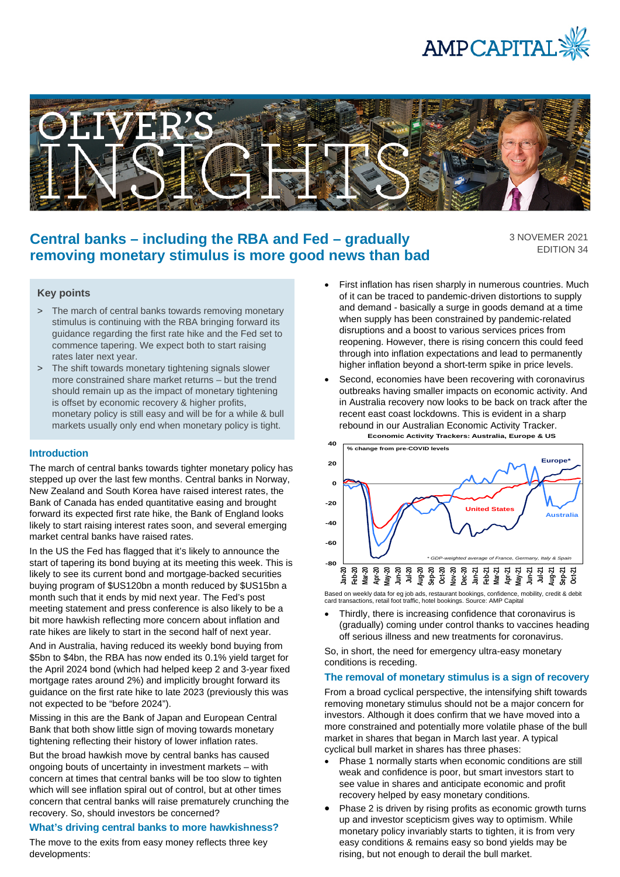



# **Central banks – including the RBA and Fed – gradually removing monetary stimulus is more good news than bad**

3 NOVEMER 2021 EDITION 34

# **Key points**

- > The march of central banks towards removing monetary stimulus is continuing with the RBA bringing forward its guidance regarding the first rate hike and the Fed set to commence tapering. We expect both to start raising rates later next year.
- > The shift towards monetary tightening signals slower more constrained share market returns – but the trend should remain up as the impact of monetary tightening is offset by economic recovery & higher profits, monetary policy is still easy and will be for a while & bull markets usually only end when monetary policy is tight.

#### **Introduction**

The march of central banks towards tighter monetary policy has stepped up over the last few months. Central banks in Norway, New Zealand and South Korea have raised interest rates, the Bank of Canada has ended quantitative easing and brought forward its expected first rate hike, the Bank of England looks likely to start raising interest rates soon, and several emerging market central banks have raised rates.

In the US the Fed has flagged that it's likely to announce the start of tapering its bond buying at its meeting this week. This is likely to see its current bond and mortgage-backed securities buying program of \$US120bn a month reduced by \$US15bn a month such that it ends by mid next year. The Fed's post meeting statement and press conference is also likely to be a bit more hawkish reflecting more concern about inflation and rate hikes are likely to start in the second half of next year.

And in Australia, having reduced its weekly bond buying from \$5bn to \$4bn, the RBA has now ended its 0.1% yield target for the April 2024 bond (which had helped keep 2 and 3-year fixed mortgage rates around 2%) and implicitly brought forward its guidance on the first rate hike to late 2023 (previously this was not expected to be "before 2024").

Missing in this are the Bank of Japan and European Central Bank that both show little sign of moving towards monetary tightening reflecting their history of lower inflation rates.

But the broad hawkish move by central banks has caused ongoing bouts of uncertainty in investment markets – with concern at times that central banks will be too slow to tighten which will see inflation spiral out of control, but at other times concern that central banks will raise prematurely crunching the recovery. So, should investors be concerned?

# **What's driving central banks to more hawkishness?**

The move to the exits from easy money reflects three key developments:

- First inflation has risen sharply in numerous countries. Much of it can be traced to pandemic-driven distortions to supply and demand - basically a surge in goods demand at a time when supply has been constrained by pandemic-related disruptions and a boost to various services prices from reopening. However, there is rising concern this could feed through into inflation expectations and lead to permanently higher inflation beyond a short-term spike in price levels.
- Second, economies have been recovering with coronavirus outbreaks having smaller impacts on economic activity. And in Australia recovery now looks to be back on track after the recent east coast lockdowns. This is evident in a sharp rebound in our Australian Economic Activity Tracker. **Economic Activity Trackers: Australia, Europe & US**



Based on weekly data for eg job ads, restaurant bookings, confidence, mobility, credit & debit card transactions, retail foot traffic, hotel bookings. Source: AMP Capital

• Thirdly, there is increasing confidence that coronavirus is (gradually) coming under control thanks to vaccines heading off serious illness and new treatments for coronavirus.

So, in short, the need for emergency ultra-easy monetary conditions is receding.

## **The removal of monetary stimulus is a sign of recovery**

From a broad cyclical perspective, the intensifying shift towards removing monetary stimulus should not be a major concern for investors. Although it does confirm that we have moved into a more constrained and potentially more volatile phase of the bull market in shares that began in March last year. A typical cyclical bull market in shares has three phases:

- Phase 1 normally starts when economic conditions are still weak and confidence is poor, but smart investors start to see value in shares and anticipate economic and profit recovery helped by easy monetary conditions.
- Phase 2 is driven by rising profits as economic growth turns up and investor scepticism gives way to optimism. While monetary policy invariably starts to tighten, it is from very easy conditions & remains easy so bond yields may be rising, but not enough to derail the bull market.